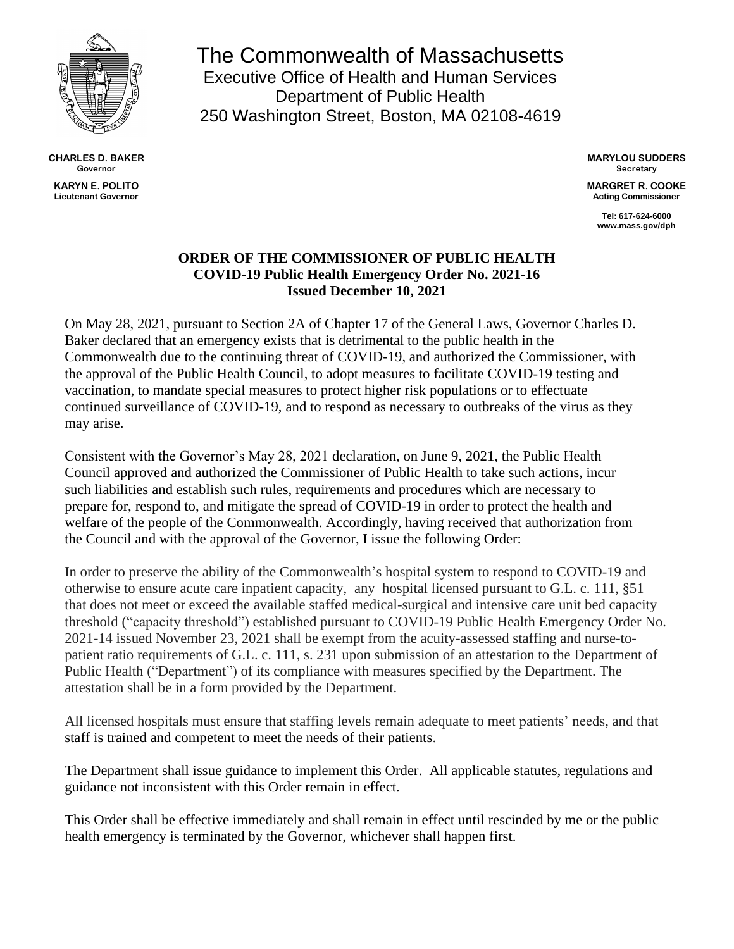

**CHARLES D. BAKER Governor KARYN E. POLITO Lieutenant Governor**

The Commonwealth of Massachusetts Executive Office of Health and Human Services Department of Public Health 250 Washington Street, Boston, MA 02108-4619

> **MARYLOU SUDDERS Secretary**

> **MARGRET R. COOKE Acting Commissioner**

> > **Tel: 617-624-6000 www.mass.gov/dph**

## **ORDER OF THE COMMISSIONER OF PUBLIC HEALTH COVID-19 Public Health Emergency Order No. 2021-16 Issued December 10, 2021**

On May 28, 2021, pursuant to Section 2A of Chapter 17 of the General Laws, Governor Charles D. Baker declared that an emergency exists that is detrimental to the public health in the Commonwealth due to the continuing threat of COVID-19, and authorized the Commissioner, with the approval of the Public Health Council, to adopt measures to facilitate COVID-19 testing and vaccination, to mandate special measures to protect higher risk populations or to effectuate continued surveillance of COVID-19, and to respond as necessary to outbreaks of the virus as they may arise.

Consistent with the Governor's May 28, 2021 declaration, on June 9, 2021, the Public Health Council approved and authorized the Commissioner of Public Health to take such actions, incur such liabilities and establish such rules, requirements and procedures which are necessary to prepare for, respond to, and mitigate the spread of COVID-19 in order to protect the health and welfare of the people of the Commonwealth. Accordingly, having received that authorization from the Council and with the approval of the Governor, I issue the following Order:

In order to preserve the ability of the Commonwealth's hospital system to respond to COVID-19 and otherwise to ensure acute care inpatient capacity, any hospital licensed pursuant to G.L. c. 111, §51 that does not meet or exceed the available staffed medical-surgical and intensive care unit bed capacity threshold ("capacity threshold") established pursuant to COVID-19 Public Health Emergency Order No. 2021-14 issued November 23, 2021 shall be exempt from the acuity-assessed staffing and nurse-topatient ratio requirements of G.L. c. 111, s. 231 upon submission of an attestation to the Department of Public Health ("Department") of its compliance with measures specified by the Department. The attestation shall be in a form provided by the Department.

All licensed hospitals must ensure that staffing levels remain adequate to meet patients' needs, and that staff is trained and competent to meet the needs of their patients.

The Department shall issue guidance to implement this Order. All applicable statutes, regulations and guidance not inconsistent with this Order remain in effect.

This Order shall be effective immediately and shall remain in effect until rescinded by me or the public health emergency is terminated by the Governor, whichever shall happen first.